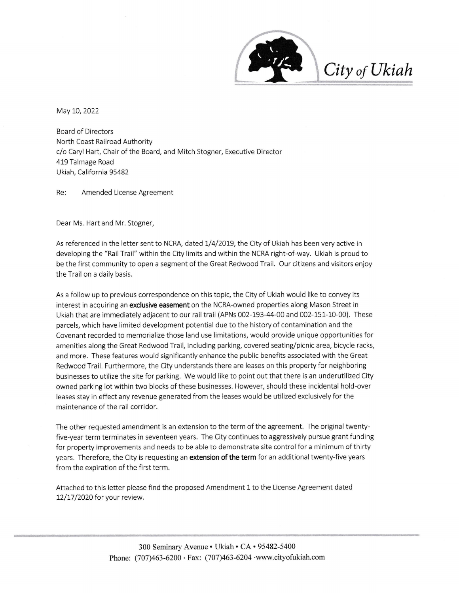

May 10, 2022

Board of Directors North Coast Railroad Authority c/o Caryl Hart, Chair of the Board, and Mitch Stogner, Executive Director 419 Talmage Road Ukiah, California 95482

Re: Amended License Agreement

Dear Ms. Hart and Mr. Stogner,

As referenced in the letter sent to NCRA, dated 1/4/2019, the City of Ukiah has been very active in developing the "Rail Trail" within the City limits and within the NCRA right-of-way. Ukiah is proud to be the first community to open a segment of the Great Redwood Trail. Our citizens and visitors enjoy the Trail on a daily basis.

As a follow up to previous correspondence on this topic, the City of Ukiah would like to convey its interest in acquiring an exclusive easement on the NCRA-owned properties along Mason Street in Ukiah that are immediately adjacent to our rail trail (APNs 002-193-44-00 and 002-151-10-00). These parcels, which have limited development potential due to the history of contamination and the Covenant recorded to memorialize those land use limitations, would provide unique opportunities for amenities along the Great Redwood Trail, including parking, covered seating/picnic area, bicycle racks, and more. These features would significantly enhance the public benefits associated with the Great Redwood Trail. Furthermore, the City understands there are leases on this property for neighboring businesses to utilize the site for parking. We would like to point out that there is an underutilized City owned parking lot within two blocks of these businesses. However, should these incidental hold-over leases stay in effect any revenue generated from the leases would be utilized exclusively for the maintenance of the rail corridor.

The other requested amendment is an extension to the term of the agreement. The original twentyfive-year term terminates in seventeen years. The City continues to aggressively pursue grant funding for property improvements and needs to be able to demonstrate site control for a minimum of thirty years. Therefore, the City is requesting an extension of the term for an additional twenty-five years from the expiration of the first term.

Attached to this letter please find the proposed Amendment 1 to the License Agreement dated 12/17/2020 for your review.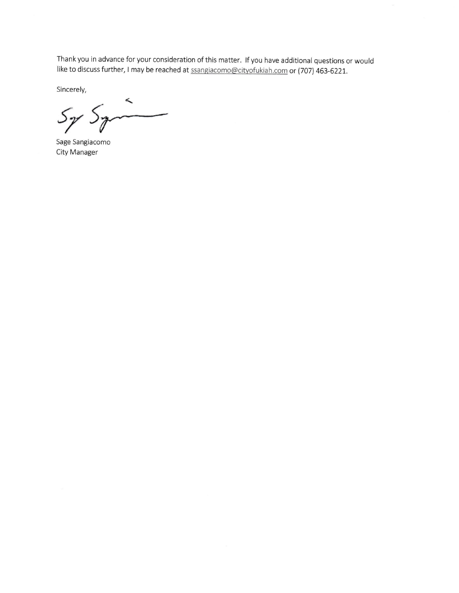Thank you in advance for your consideration of this matter. If you have additional questions or would like to discuss further, I may be reached at ssangiacomo@cityofukiah.com or (707) 463-6221.

Sincerely,

 $\leq$  $5y$   $5y$ 

Sage Sangiacomo City Manager